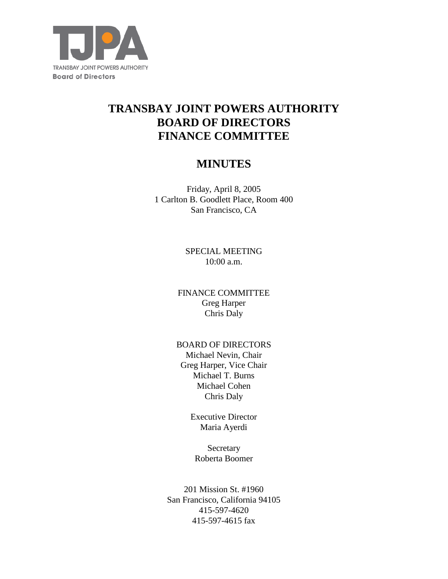

# **TRANSBAY JOINT POWERS AUTHORITY BOARD OF DIRECTORS FINANCE COMMITTEE**

## **MINUTES**

Friday, April 8, 2005 1 Carlton B. Goodlett Place, Room 400 San Francisco, CA

> SPECIAL MEETING 10:00 a.m.

FINANCE COMMITTEE Greg Harper Chris Daly

#### BOARD OF DIRECTORS

Michael Nevin, Chair Greg Harper, Vice Chair Michael T. Burns Michael Cohen Chris Daly

> Executive Director Maria Ayerdi

Secretary Roberta Boomer

201 Mission St. #1960 San Francisco, California 94105 415-597-4620 415-597-4615 fax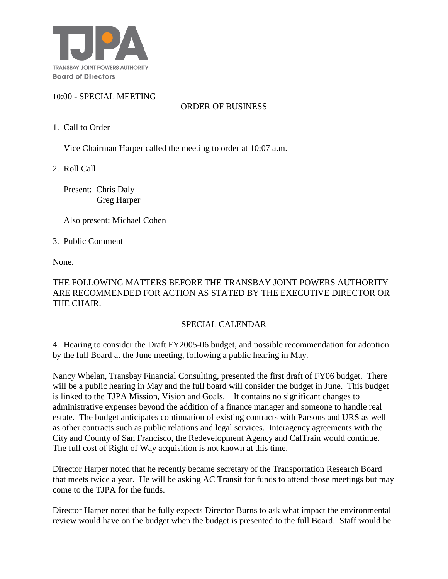

#### 10:00 - SPECIAL MEETING

### ORDER OF BUSINESS

1. Call to Order

Vice Chairman Harper called the meeting to order at 10:07 a.m.

2. Roll Call

 Present: Chris Daly Greg Harper

Also present: Michael Cohen

3. Public Comment

None.

#### THE FOLLOWING MATTERS BEFORE THE TRANSBAY JOINT POWERS AUTHORITY ARE RECOMMENDED FOR ACTION AS STATED BY THE EXECUTIVE DIRECTOR OR THE CHAIR.

### SPECIAL CALENDAR

4. Hearing to consider the Draft FY2005-06 budget, and possible recommendation for adoption by the full Board at the June meeting, following a public hearing in May.

Nancy Whelan, Transbay Financial Consulting, presented the first draft of FY06 budget. There will be a public hearing in May and the full board will consider the budget in June. This budget is linked to the TJPA Mission, Vision and Goals. It contains no significant changes to administrative expenses beyond the addition of a finance manager and someone to handle real estate. The budget anticipates continuation of existing contracts with Parsons and URS as well as other contracts such as public relations and legal services. Interagency agreements with the City and County of San Francisco, the Redevelopment Agency and CalTrain would continue. The full cost of Right of Way acquisition is not known at this time.

Director Harper noted that he recently became secretary of the Transportation Research Board that meets twice a year. He will be asking AC Transit for funds to attend those meetings but may come to the TJPA for the funds.

Director Harper noted that he fully expects Director Burns to ask what impact the environmental review would have on the budget when the budget is presented to the full Board. Staff would be